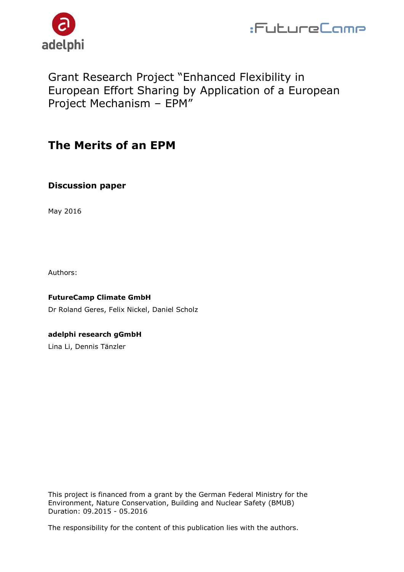



## Grant Research Project "Enhanced Flexibility in European Effort Sharing by Application of a European Project Mechanism – EPM"

## **The Merits of an EPM**

### **Discussion paper**

May 2016

Authors:

**FutureCamp Climate GmbH** Dr Roland Geres, Felix Nickel, Daniel Scholz

**adelphi research gGmbH** 

Lina Li, Dennis Tänzler

This project is financed from a grant by the German Federal Ministry for the Environment, Nature Conservation, Building and Nuclear Safety (BMUB) Duration: 09.2015 - 05.2016

The responsibility for the content of this publication lies with the authors.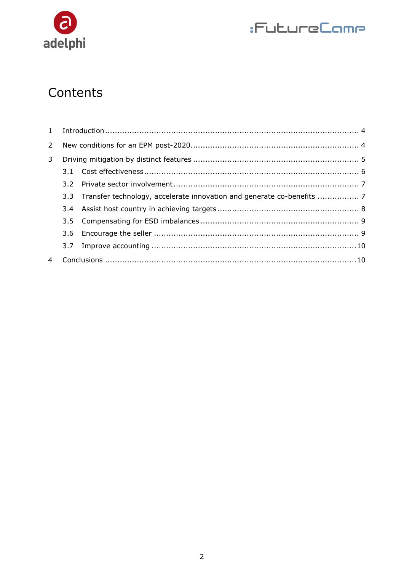

# :FutureCamp

# Contents

| 2 |     |                                                                         |  |
|---|-----|-------------------------------------------------------------------------|--|
| 3 |     |                                                                         |  |
|   |     |                                                                         |  |
|   |     |                                                                         |  |
|   |     | 3.3 Transfer technology, accelerate innovation and generate co-benefits |  |
|   |     |                                                                         |  |
|   |     |                                                                         |  |
|   |     |                                                                         |  |
|   | 3.7 |                                                                         |  |
|   |     |                                                                         |  |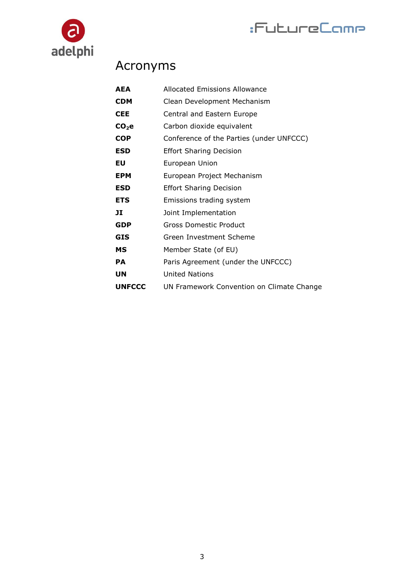



# Acronyms

| <b>Allocated Emissions Allowance</b>      |
|-------------------------------------------|
| Clean Development Mechanism               |
| Central and Eastern Europe                |
| Carbon dioxide equivalent                 |
| Conference of the Parties (under UNFCCC)  |
| <b>Effort Sharing Decision</b>            |
| European Union                            |
| European Project Mechanism                |
| <b>Effort Sharing Decision</b>            |
| Emissions trading system                  |
| Joint Implementation                      |
| <b>Gross Domestic Product</b>             |
| Green Investment Scheme                   |
| Member State (of EU)                      |
| Paris Agreement (under the UNFCCC)        |
| <b>United Nations</b>                     |
| UN Framework Convention on Climate Change |
|                                           |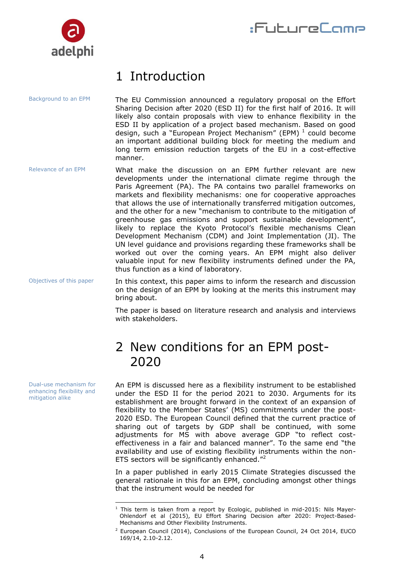

# <span id="page-3-0"></span>1 Introduction

The EU Commission announced a regulatory proposal on the Effort Sharing Decision after 2020 (ESD II) for the first half of 2016. It will likely also contain proposals with view to enhance flexibility in the ESD II by application of a project based mechanism. Based on good design, such a "European Project Mechanism" (EPM)  $^1$  could become an important additional building block for meeting the medium and long term emission reduction targets of the EU in a cost-effective manner. Background to an EPM

What make the discussion on an EPM further relevant are new developments under the international climate regime through the Paris Agreement (PA). The PA contains two parallel frameworks on markets and flexibility mechanisms: one for cooperative approaches that allows the use of internationally transferred mitigation outcomes, and the other for a new "mechanism to contribute to the mitigation of greenhouse gas emissions and support sustainable development", likely to replace the Kyoto Protocol's flexible mechanisms Clean Development Mechanism (CDM) and Joint Implementation (JI). The UN level guidance and provisions regarding these frameworks shall be worked out over the coming years. An EPM might also deliver valuable input for new flexibility instruments defined under the PA, thus function as a kind of laboratory. Relevance of an EPM

In this context, this paper aims to inform the research and discussion on the design of an EPM by looking at the merits this instrument may bring about. Objectives of this paper

> The paper is based on literature research and analysis and interviews with stakeholders.

# <span id="page-3-1"></span>2 New conditions for an EPM post-2020

An EPM is discussed here as a flexibility instrument to be established under the ESD II for the period 2021 to 2030. Arguments for its establishment are brought forward in the context of an expansion of flexibility to the Member States' (MS) commitments under the post-2020 ESD. The European Council defined that the current practice of sharing out of targets by GDP shall be continued, with some adjustments for MS with above average GDP "to reflect costeffectiveness in a fair and balanced manner". To the same end "the availability and use of existing flexibility instruments within the non-ETS sectors will be significantly enhanced."<sup>2</sup>

In a paper published in early 2015 Climate Strategies discussed the general rationale in this for an EPM, concluding amongst other things that the instrument would be needed for

Dual-use mechanism for enhancing flexibility and mitigation alike

<sup>-</sup> $1$  This term is taken from a report by Ecologic, published in mid-2015: Nils Mayer-Ohlendorf et al (2015), EU Effort Sharing Decision after 2020: Project-Based-Mechanisms and Other Flexibility Instruments.

 $2$  European Council (2014), Conclusions of the European Council, 24 Oct 2014, EUCO 169/14, 2.10-2.12.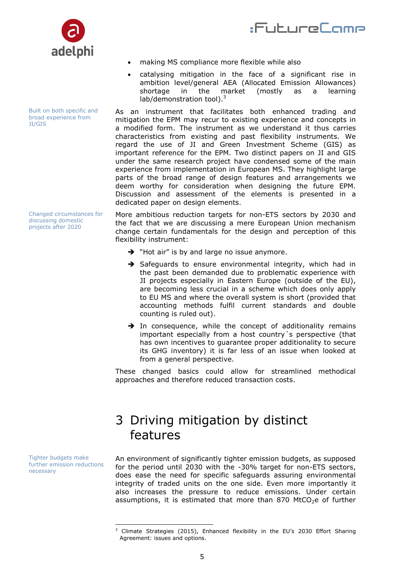



Built on both specific and broad experience from JI/GIS

Changed circumstances for discussing domestic projects after 2020

making MS compliance more flexible while also

 catalysing mitigation in the face of a significant rise in ambition level/general AEA (Allocated Emission Allowances) shortage in the market (mostly as a learning  $lab/demonstration tool).<sup>3</sup>$ 

As an instrument that facilitates both enhanced trading and mitigation the EPM may recur to existing experience and concepts in a modified form. The instrument as we understand it thus carries characteristics from existing and past flexibility instruments. We regard the use of JI and Green Investment Scheme (GIS) as important reference for the EPM. Two distinct papers on JI and GIS under the same research project have condensed some of the main experience from implementation in European MS. They highlight large parts of the broad range of design features and arrangements we deem worthy for consideration when designing the future EPM. Discussion and assessment of the elements is presented in a dedicated paper on design elements.

More ambitious reduction targets for non-ETS sectors by 2030 and the fact that we are discussing a mere European Union mechanism change certain fundamentals for the design and perception of this flexibility instrument:

- $\rightarrow$  "Hot air" is by and large no issue anymore.
- $\rightarrow$  Safeguards to ensure environmental integrity, which had in the past been demanded due to problematic experience with JI projects especially in Eastern Europe (outside of the EU), are becoming less crucial in a scheme which does only apply to EU MS and where the overall system is short (provided that accounting methods fulfil current standards and double counting is ruled out).
- $\rightarrow$  In consequence, while the concept of additionality remains important especially from a host country´s perspective (that has own incentives to guarantee proper additionality to secure its GHG inventory) it is far less of an issue when looked at from a general perspective.

These changed basics could allow for streamlined methodical approaches and therefore reduced transaction costs.

# <span id="page-4-0"></span>3 Driving mitigation by distinct features

An environment of significantly tighter emission budgets, as supposed for the period until 2030 with the -30% target for non-ETS sectors, does ease the need for specific safeguards assuring environmental integrity of traded units on the one side. Even more importantly it also increases the pressure to reduce emissions. Under certain assumptions, it is estimated that more than 870 MtCO<sub>2</sub>e of further

Tighter budgets make further emission reductions necessary

<sup>-</sup> $3$  Climate Strategies (2015), Enhanced flexibility in the EU's 2030 Effort Sharing Agreement: issues and options.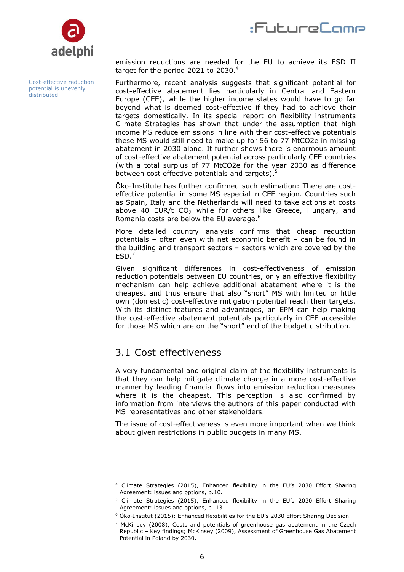



Cost-effective reduction potential is unevenly **distributed** 

emission reductions are needed for the EU to achieve its ESD II target for the period 2021 to 2030.<sup>4</sup>

Furthermore, recent analysis suggests that significant potential for cost-effective abatement lies particularly in Central and Eastern Europe (CEE), while the higher income states would have to go far beyond what is deemed cost-effective if they had to achieve their targets domestically. In its special report on flexibility instruments Climate Strategies has shown that under the assumption that high income MS reduce emissions in line with their cost-effective potentials these MS would still need to make up for 56 to 77 MtCO2e in missing abatement in 2030 alone. It further shows there is enormous amount of cost-effective abatement potential across particularly CEE countries (with a total surplus of 77 MtCO2e for the year 2030 as difference between cost effective potentials and targets).<sup>5</sup>

Öko-Institute has further confirmed such estimation: There are costeffective potential in some MS especial in CEE region. Countries such as Spain, Italy and the Netherlands will need to take actions at costs above 40 EUR/t  $CO<sub>2</sub>$  while for others like Greece, Hungary, and Romania costs are below the EU average.<sup>6</sup>

More detailed country analysis confirms that cheap reduction potentials – often even with net economic benefit – can be found in the building and transport sectors – sectors which are covered by the  $ESD.<sup>7</sup>$ 

Given significant differences in cost-effectiveness of emission reduction potentials between EU countries, only an effective flexibility mechanism can help achieve additional abatement where it is the cheapest and thus ensure that also "short" MS with limited or little own (domestic) cost-effective mitigation potential reach their targets. With its distinct features and advantages, an EPM can help making the cost-effective abatement potentials particularly in CEE accessible for those MS which are on the "short" end of the budget distribution.

### <span id="page-5-0"></span>3.1 Cost effectiveness

A very fundamental and original claim of the flexibility instruments is that they can help mitigate climate change in a more cost-effective manner by leading financial flows into emission reduction measures where it is the cheapest. This perception is also confirmed by information from interviews the authors of this paper conducted with MS representatives and other stakeholders.

The issue of cost-effectiveness is even more important when we think about given restrictions in public budgets in many MS.

<sup>-</sup><sup>4</sup> Climate Strategies (2015), Enhanced flexibility in the EU's 2030 Effort Sharing Agreement: issues and options, p.10.

<sup>&</sup>lt;sup>5</sup> Climate Strategies (2015), Enhanced flexibility in the EU's 2030 Effort Sharing Agreement: issues and options, p. 13.

<sup>6</sup> Öko-Institut (2015): Enhanced flexibilities for the EU's 2030 Effort Sharing Decision.

 $7$  McKinsey (2008), Costs and potentials of greenhouse gas abatement in the Czech Republic – Key findings; McKinsey (2009), Assessment of Greenhouse Gas Abatement Potential in Poland by 2030.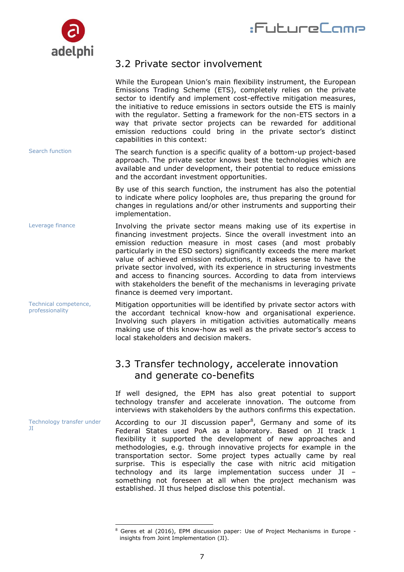



### <span id="page-6-0"></span>3.2 Private sector involvement

|                                          | While the European Union's main flexibility instrument, the European<br>Emissions Trading Scheme (ETS), completely relies on the private<br>sector to identify and implement cost-effective mitigation measures,<br>the initiative to reduce emissions in sectors outside the ETS is mainly<br>with the regulator. Setting a framework for the non-ETS sectors in a<br>way that private sector projects can be rewarded for additional<br>emission reductions could bring in the private sector's distinct<br>capabilities in this context:                                                                           |
|------------------------------------------|-----------------------------------------------------------------------------------------------------------------------------------------------------------------------------------------------------------------------------------------------------------------------------------------------------------------------------------------------------------------------------------------------------------------------------------------------------------------------------------------------------------------------------------------------------------------------------------------------------------------------|
| Search function                          | The search function is a specific quality of a bottom-up project-based<br>approach. The private sector knows best the technologies which are<br>available and under development, their potential to reduce emissions<br>and the accordant investment opportunities.                                                                                                                                                                                                                                                                                                                                                   |
|                                          | By use of this search function, the instrument has also the potential<br>to indicate where policy loopholes are, thus preparing the ground for<br>changes in regulations and/or other instruments and supporting their<br>implementation.                                                                                                                                                                                                                                                                                                                                                                             |
| Leverage finance                         | Involving the private sector means making use of its expertise in<br>financing investment projects. Since the overall investment into an<br>emission reduction measure in most cases (and most probably<br>particularly in the ESD sectors) significantly exceeds the mere market<br>value of achieved emission reductions, it makes sense to have the<br>private sector involved, with its experience in structuring investments<br>and access to financing sources. According to data from interviews<br>with stakeholders the benefit of the mechanisms in leveraging private<br>finance is deemed very important. |
| Technical competence,<br>professionality | Mitigation opportunities will be identified by private sector actors with<br>the accordant technical know-how and organisational experience.<br>Involving such players in mitigation activities automatically means<br>making use of this know-how as well as the private sector's access to<br>local stakeholders and decision makers.                                                                                                                                                                                                                                                                               |
|                                          | 3.3 Transfer technology, accelerate innovation<br>and generate co-benefits                                                                                                                                                                                                                                                                                                                                                                                                                                                                                                                                            |
|                                          | If well designed, the EPM has also great potential to support<br>technology transfer and accelerate innovation. The outcome from<br>interviews with stakeholders by the authors confirms this expectation.                                                                                                                                                                                                                                                                                                                                                                                                            |
| Technology transfer under<br>Π           | According to our JI discussion paper <sup>8</sup> , Germany and some of its<br>Federal States used PoA as a laboratory. Based on JI track 1<br>flexibility it supported the development of new approaches and<br>methodologies, e.g. through innovative projects for example in the                                                                                                                                                                                                                                                                                                                                   |

<span id="page-6-1"></span>transportation sector. Some project types actually came by real surprise. This is especially the case with nitric acid mitigation technology and its large implementation success under JI – something not foreseen at all when the project mechanism was

established. JI thus helped disclose this potential.

<sup>-</sup><sup>8</sup> Geres et al (2016), EPM discussion paper: Use of Project Mechanisms in Europe insights from Joint Implementation (JI).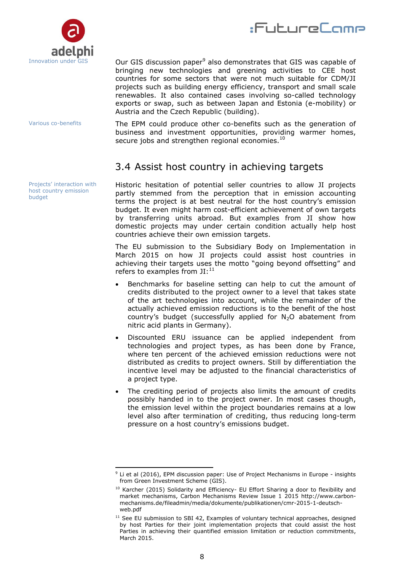

Various co-benefits

Projects' interaction with host country emission budget

#### Our GIS discussion paper<sup>9</sup> also demonstrates that GIS was capable of bringing new technologies and greening activities to CEE host countries for some sectors that were not much suitable for CDM/JI projects such as building energy efficiency, transport and small scale renewables. It also contained cases involving so-called technology exports or swap, such as between Japan and Estonia (e-mobility) or Austria and the Czech Republic (building).

:FutureCome

The EPM could produce other co-benefits such as the generation of business and investment opportunities, providing warmer homes, secure jobs and strengthen regional economies.<sup>10</sup>

## <span id="page-7-0"></span>3.4 Assist host country in achieving targets

Historic hesitation of potential seller countries to allow JI projects partly stemmed from the perception that in emission accounting terms the project is at best neutral for the host country's emission budget. It even might harm cost-efficient achievement of own targets by transferring units abroad. But examples from JI show how domestic projects may under certain condition actually help host countries achieve their own emission targets.

The EU submission to the Subsidiary Body on Implementation in March 2015 on how JI projects could assist host countries in achieving their targets uses the motto "going beyond offsetting" and refers to examples from  $JI:^{11}$ 

- Benchmarks for baseline setting can help to cut the amount of credits distributed to the project owner to a level that takes state of the art technologies into account, while the remainder of the actually achieved emission reductions is to the benefit of the host country's budget (successfully applied for  $N_2O$  abatement from nitric acid plants in Germany).
- Discounted ERU issuance can be applied independent from technologies and project types, as has been done by France, where ten percent of the achieved emission reductions were not distributed as credits to project owners. Still by differentiation the incentive level may be adjusted to the financial characteristics of a project type.
- The crediting period of projects also limits the amount of credits possibly handed in to the project owner. In most cases though, the emission level within the project boundaries remains at a low level also after termination of crediting, thus reducing long-term pressure on a host country's emissions budget.

<sup>-</sup> $9$  Li et al (2016), EPM discussion paper: Use of Project Mechanisms in Europe - insights from Green Investment Scheme (GIS).

<sup>&</sup>lt;sup>10</sup> Karcher (2015) Solidarity and Efficiency- EU Effort Sharing a door to flexibility and market mechanisms, Carbon Mechanisms Review Issue 1 2015 http://www.carbonmechanisms.de/fileadmin/media/dokumente/publikationen/cmr-2015-1-deutschweb.pdf

 $11$  See EU submission to SBI 42, Examples of voluntary technical approaches, designed by host Parties for their joint implementation projects that could assist the host Parties in achieving their quantified emission limitation or reduction commitments, March 2015.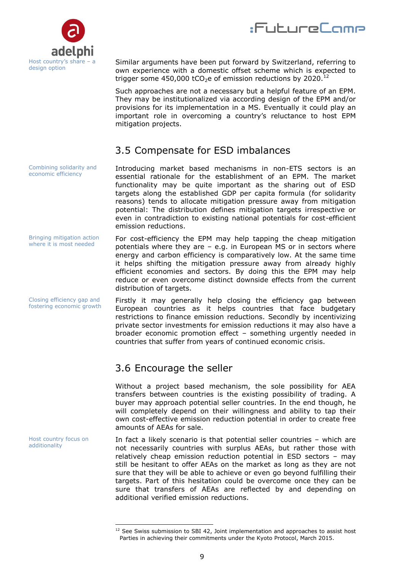



Similar arguments have been put forward by Switzerland, referring to own experience with a domestic offset scheme which is expected to trigger some 450,000 tCO<sub>2</sub>e of emission reductions by 2020.<sup>12</sup>

Such approaches are not a necessary but a helpful feature of an EPM. They may be institutionalized via according design of the EPM and/or provisions for its implementation in a MS. Eventually it could play an important role in overcoming a country's reluctance to host EPM mitigation projects.

### <span id="page-8-0"></span>3.5 Compensate for ESD imbalances

Introducing market based mechanisms in non-ETS sectors is an essential rationale for the establishment of an EPM. The market functionality may be quite important as the sharing out of ESD targets along the established GDP per capita formula (for solidarity reasons) tends to allocate mitigation pressure away from mitigation potential: The distribution defines mitigation targets irrespective or even in contradiction to existing national potentials for cost-efficient emission reductions. economic efficiency

> For cost-efficiency the EPM may help tapping the cheap mitigation potentials where they are – e.g. in European MS or in sectors where energy and carbon efficiency is comparatively low. At the same time it helps shifting the mitigation pressure away from already highly efficient economies and sectors. By doing this the EPM may help reduce or even overcome distinct downside effects from the current distribution of targets.

> Firstly it may generally help closing the efficiency gap between European countries as it helps countries that face budgetary restrictions to finance emission reductions. Secondly by incentivizing private sector investments for emission reductions it may also have a broader economic promotion effect – something urgently needed in countries that suffer from years of continued economic crisis.

### <span id="page-8-1"></span>3.6 Encourage the seller

Without a project based mechanism, the sole possibility for AEA transfers between countries is the existing possibility of trading. A buyer may approach potential seller countries. In the end though, he will completely depend on their willingness and ability to tap their own cost-effective emission reduction potential in order to create free amounts of AEAs for sale.

In fact a likely scenario is that potential seller countries – which are not necessarily countries with surplus AEAs, but rather those with relatively cheap emission reduction potential in ESD sectors – may still be hesitant to offer AEAs on the market as long as they are not sure that they will be able to achieve or even go beyond fulfilling their targets. Part of this hesitation could be overcome once they can be sure that transfers of AEAs are reflected by and depending on additional verified emission reductions.

Combining solidarity and

Bringing mitigation action where it is most needed

Closing efficiency gap and fostering economic growth

Host country focus on additionality

<sup>-</sup> $12$  See Swiss submission to SBI 42, Joint implementation and approaches to assist host Parties in achieving their commitments under the Kyoto Protocol, March 2015.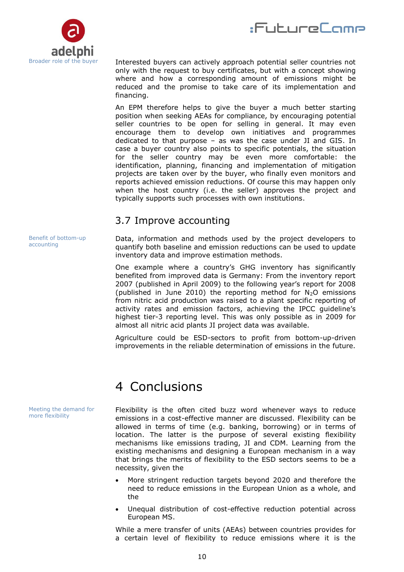



Interested buyers can actively approach potential seller countries not only with the request to buy certificates, but with a concept showing where and how a corresponding amount of emissions might be reduced and the promise to take care of its implementation and financing.

An EPM therefore helps to give the buyer a much better starting position when seeking AEAs for compliance, by encouraging potential seller countries to be open for selling in general. It may even encourage them to develop own initiatives and programmes dedicated to that purpose – as was the case under JI and GIS. In case a buyer country also points to specific potentials, the situation for the seller country may be even more comfortable: the identification, planning, financing and implementation of mitigation projects are taken over by the buyer, who finally even monitors and reports achieved emission reductions. Of course this may happen only when the host country (i.e. the seller) approves the project and typically supports such processes with own institutions.

### <span id="page-9-0"></span>3.7 Improve accounting

Data, information and methods used by the project developers to quantify both baseline and emission reductions can be used to update inventory data and improve estimation methods.

One example where a country's GHG inventory has significantly benefited from improved data is Germany: From the inventory report 2007 (published in April 2009) to the following year's report for 2008 (published in June 2010) the reporting method for  $N_2O$  emissions from nitric acid production was raised to a plant specific reporting of activity rates and emission factors, achieving the IPCC guideline's highest tier-3 reporting level. This was only possible as in 2009 for almost all nitric acid plants JI project data was available.

Agriculture could be ESD-sectors to profit from bottom-up-driven improvements in the reliable determination of emissions in the future.

## <span id="page-9-1"></span>4 Conclusions

Flexibility is the often cited buzz word whenever ways to reduce emissions in a cost-effective manner are discussed. Flexibility can be allowed in terms of time (e.g. banking, borrowing) or in terms of location. The latter is the purpose of several existing flexibility mechanisms like emissions trading, JI and CDM. Learning from the existing mechanisms and designing a European mechanism in a way that brings the merits of flexibility to the ESD sectors seems to be a necessity, given the

- More stringent reduction targets beyond 2020 and therefore the need to reduce emissions in the European Union as a whole, and the
- Unequal distribution of cost-effective reduction potential across European MS.

While a mere transfer of units (AEAs) between countries provides for a certain level of flexibility to reduce emissions where it is the

Benefit of bottom-up accounting

Meeting the demand for more flexibility